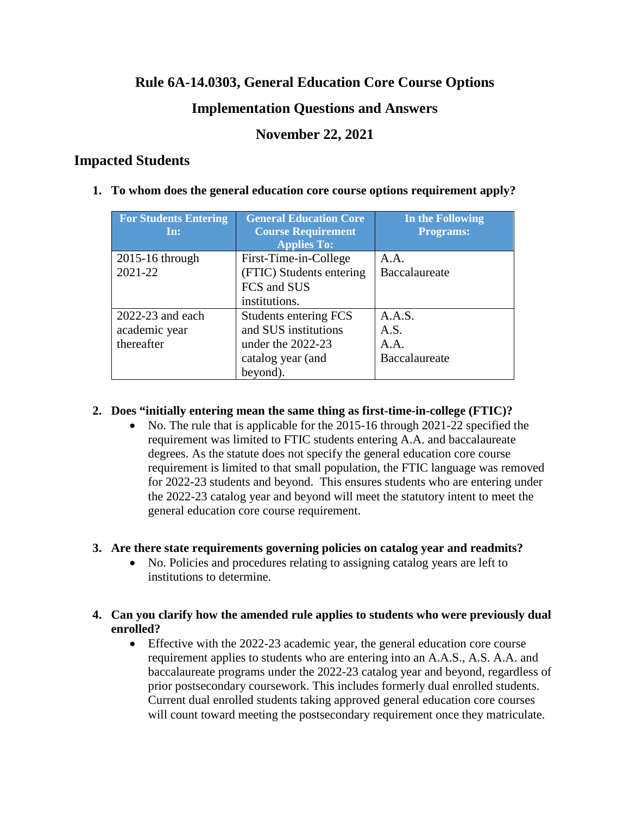## **Rule 6A-14.0303, General Education Core Course Options**

## **Implementation Questions and Answers**

## **November 22, 2021**

## **Impacted Students**

**1. To whom does the general education core course options requirement apply?**

| <b>For Students Entering</b> | <b>General Education Core</b> | In the Following |
|------------------------------|-------------------------------|------------------|
| In:                          | <b>Course Requirement</b>     | <b>Programs:</b> |
|                              | <b>Applies To:</b>            |                  |
| $2015-16$ through            | First-Time-in-College         | A.A.             |
| 2021-22                      | (FTIC) Students entering      | Baccalaureate    |
|                              | FCS and SUS                   |                  |
|                              | institutions.                 |                  |
| $2022 - 23$ and each         | Students entering FCS         | A.A.S.           |
| academic year                | and SUS institutions          | A.S.             |
| thereafter                   | under the $2022-23$           | A.A.             |
|                              | catalog year (and             | Baccalaureate    |
|                              | beyond).                      |                  |

### **2. Does "initially entering mean the same thing as first-time-in-college (FTIC)?**

• No. The rule that is applicable for the 2015-16 through 2021-22 specified the requirement was limited to FTIC students entering A.A. and baccalaureate degrees. As the statute does not specify the general education core course requirement is limited to that small population, the FTIC language was removed for 2022-23 students and beyond. This ensures students who are entering under the 2022-23 catalog year and beyond will meet the statutory intent to meet the general education core course requirement.

## **3. Are there state requirements governing policies on catalog year and readmits?**

• No. Policies and procedures relating to assigning catalog years are left to institutions to determine.

### **4. Can you clarify how the amended rule applies to students who were previously dual enrolled?**

• Effective with the 2022-23 academic year, the general education core course requirement applies to students who are entering into an A.A.S., A.S. A.A. and baccalaureate programs under the 2022-23 catalog year and beyond, regardless of prior postsecondary coursework. This includes formerly dual enrolled students. Current dual enrolled students taking approved general education core courses will count toward meeting the postsecondary requirement once they matriculate.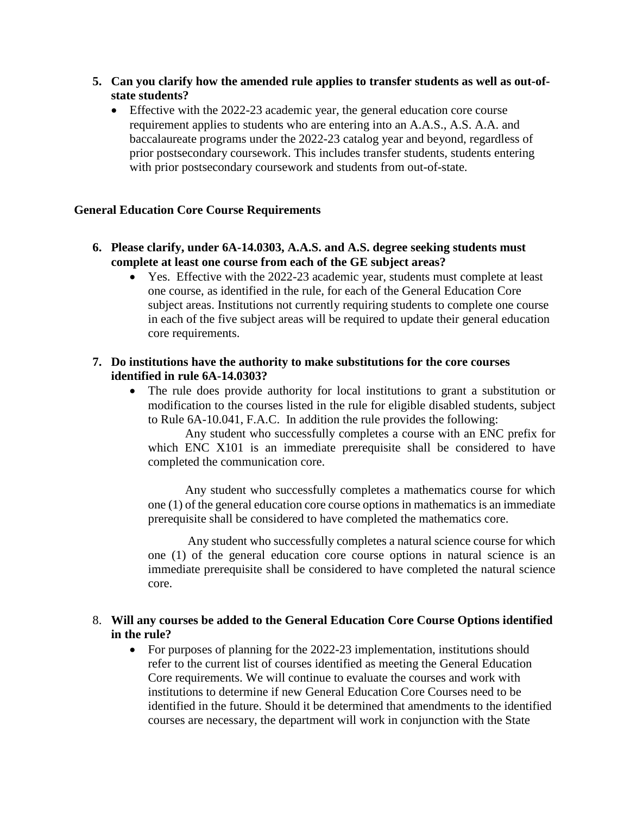- **5. Can you clarify how the amended rule applies to transfer students as well as out-ofstate students?** 
	- Effective with the 2022-23 academic year, the general education core course requirement applies to students who are entering into an A.A.S., A.S. A.A. and baccalaureate programs under the 2022-23 catalog year and beyond, regardless of prior postsecondary coursework. This includes transfer students, students entering with prior postsecondary coursework and students from out-of-state.

#### **General Education Core Course Requirements**

- **6. Please clarify, under 6A-14.0303, A.A.S. and A.S. degree seeking students must complete at least one course from each of the GE subject areas?** 
	- Yes. Effective with the 2022-23 academic year, students must complete at least one course, as identified in the rule, for each of the General Education Core subject areas. Institutions not currently requiring students to complete one course in each of the five subject areas will be required to update their general education core requirements.

#### **7. Do institutions have the authority to make substitutions for the core courses identified in rule 6A-14.0303?**

• The rule does provide authority for local institutions to grant a substitution or modification to the courses listed in the rule for eligible disabled students, subject to Rule 6A-10.041, F.A.C. In addition the rule provides the following:

Any student who successfully completes a course with an ENC prefix for which ENC X101 is an immediate prerequisite shall be considered to have completed the communication core.

 Any student who successfully completes a mathematics course for which one (1) of the general education core course options in mathematics is an immediate prerequisite shall be considered to have completed the mathematics core.

 Any student who successfully completes a natural science course for which one (1) of the general education core course options in natural science is an immediate prerequisite shall be considered to have completed the natural science core.

#### 8. **Will any courses be added to the General Education Core Course Options identified in the rule?**

• For purposes of planning for the 2022-23 implementation, institutions should refer to the current list of courses identified as meeting the General Education Core requirements. We will continue to evaluate the courses and work with institutions to determine if new General Education Core Courses need to be identified in the future. Should it be determined that amendments to the identified courses are necessary, the department will work in conjunction with the State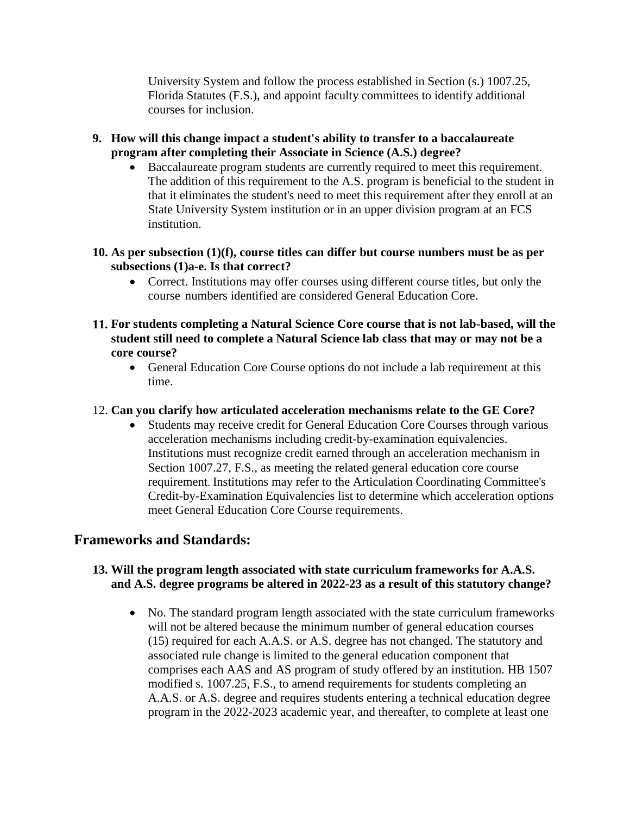University System and follow the process established in Section (s.) 1007.25, Florida Statutes (F.S.), and appoint faculty committees to identify additional courses for inclusion.

- **9. How will this change impact a student's ability to transfer to a baccalaureate program after completing their Associate in Science (A.S.) degree?** 
	- Baccalaureate program students are currently required to meet this requirement. The addition of this requirement to the A.S. program is beneficial to the student in that it eliminates the student's need to meet this requirement after they enroll at an State University System institution or in an upper division program at an FCS institution.
- **10. As per subsection (1)(f), course titles can differ but course numbers must be as per subsections (1)a-e. Is that correct?** 
	- Correct. Institutions may offer courses using different course titles, but only the course numbers identified are considered General Education Core.
- **11. For students completing a Natural Science Core course that is not lab-based, will the student still need to complete a Natural Science lab class that may or may not be a core course?**
	- General Education Core Course options do not include a lab requirement at this time.
- 12. **Can you clarify how articulated acceleration mechanisms relate to the GE Core?** 
	- Students may receive credit for General Education Core Courses through various acceleration mechanisms including credit-by-examination equivalencies. Institutions must recognize credit earned through an acceleration mechanism in Section 1007.27, F.S., as meeting the related general education core course requirement. Institutions may refer to the Articulation Coordinating Committee's Credit-by-Examination Equivalencies list to determine which acceleration options meet General Education Core Course requirements.

## **Frameworks and Standards:**

### **13. Will the program length associated with state curriculum frameworks for A.A.S. and A.S. degree programs be altered in 2022-23 as a result of this statutory change?**

• No. The standard program length associated with the state curriculum frameworks will not be altered because the minimum number of general education courses (15) required for each A.A.S. or A.S. degree has not changed. The statutory and associated rule change is limited to the general education component that comprises each AAS and AS program of study offered by an institution. HB 1507 modified s. 1007.25, F.S., to amend requirements for students completing an A.A.S. or A.S. degree and requires students entering a technical education degree program in the 2022-2023 academic year, and thereafter, to complete at least one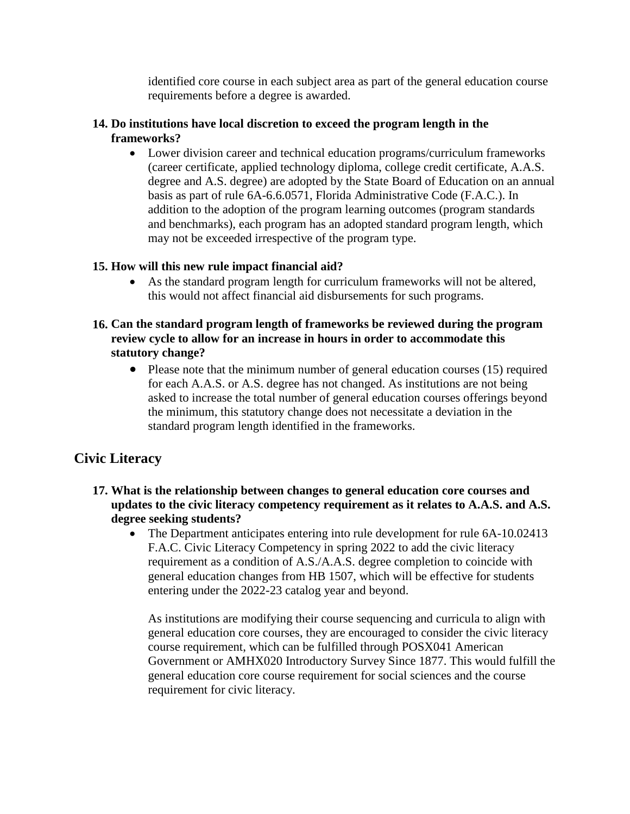identified core course in each subject area as part of the general education course requirements before a degree is awarded.

### **14. Do institutions have local discretion to exceed the program length in the frameworks?**

• Lower division career and technical education programs/curriculum frameworks (career certificate, applied technology diploma, college credit certificate, A.A.S. degree and A.S. degree) are adopted by the State Board of Education on an annual basis as part of rule 6A-6.6.0571, Florida Administrative Code (F.A.C.). In addition to the adoption of the program learning outcomes (program standards and benchmarks), each program has an adopted standard program length, which may not be exceeded irrespective of the program type.

### **15. How will this new rule impact financial aid?**

• As the standard program length for curriculum frameworks will not be altered, this would not affect financial aid disbursements for such programs.

### **16. Can the standard program length of frameworks be reviewed during the program review cycle to allow for an increase in hours in order to accommodate this statutory change?**

• Please note that the minimum number of general education courses (15) required for each A.A.S. or A.S. degree has not changed. As institutions are not being asked to increase the total number of general education courses offerings beyond the minimum, this statutory change does not necessitate a deviation in the standard program length identified in the frameworks.

## **Civic Literacy**

- **17. What is the relationship between changes to general education core courses and updates to the civic literacy competency requirement as it relates to A.A.S. and A.S. degree seeking students?** 
	- The Department anticipates entering into rule development for rule 6A-10.02413 F.A.C. Civic Literacy Competency in spring 2022 to add the civic literacy requirement as a condition of A.S./A.A.S. degree completion to coincide with general education changes from HB 1507, which will be effective for students entering under the 2022-23 catalog year and beyond.

As institutions are modifying their course sequencing and curricula to align with general education core courses, they are encouraged to consider the civic literacy course requirement, which can be fulfilled through POSX041 American Government or AMHX020 Introductory Survey Since 1877. This would fulfill the general education core course requirement for social sciences and the course requirement for civic literacy.